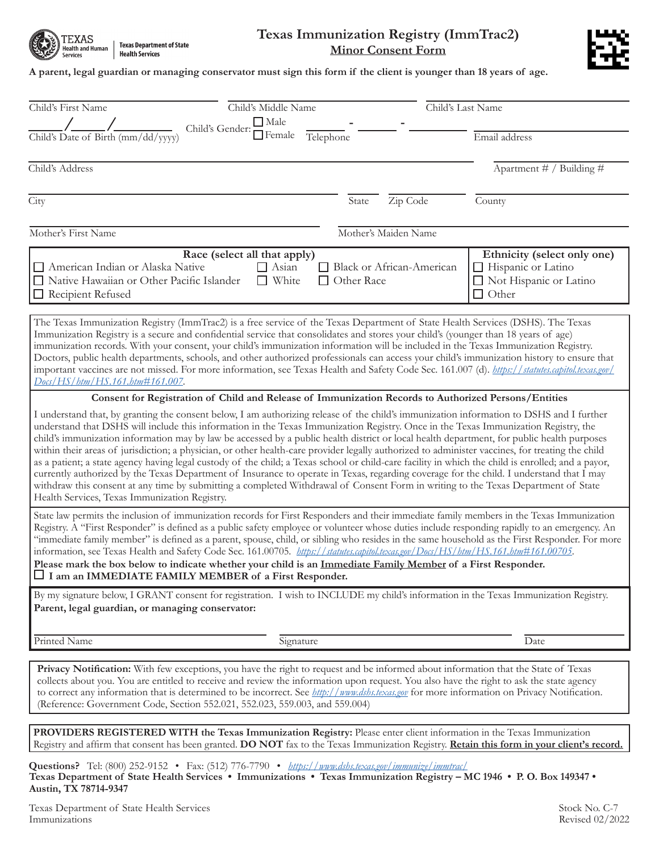

**Texas Department of State Health Services** 

## **Texas Immunization Registry (ImmTrac2) Minor Consent Form**



## **A parent, legal guardian or managing conservator must sign this form if the client is younger than 18 years of age.**

| Child's First Name<br>Child's Middle Name                                                                                                                                                                                                                                                                                                                                                                                                                                                                                                                                                                                                                                                                                                                                                                                                                                                                                                                                                                                                                                  |                                                | Child's Last Name                                                                             |  |
|----------------------------------------------------------------------------------------------------------------------------------------------------------------------------------------------------------------------------------------------------------------------------------------------------------------------------------------------------------------------------------------------------------------------------------------------------------------------------------------------------------------------------------------------------------------------------------------------------------------------------------------------------------------------------------------------------------------------------------------------------------------------------------------------------------------------------------------------------------------------------------------------------------------------------------------------------------------------------------------------------------------------------------------------------------------------------|------------------------------------------------|-----------------------------------------------------------------------------------------------|--|
| $\Box$ Male<br>Child's Gender:                                                                                                                                                                                                                                                                                                                                                                                                                                                                                                                                                                                                                                                                                                                                                                                                                                                                                                                                                                                                                                             |                                                |                                                                                               |  |
| $\Box$ Female<br>Child's Date of Birth (mm/dd/yyyy)                                                                                                                                                                                                                                                                                                                                                                                                                                                                                                                                                                                                                                                                                                                                                                                                                                                                                                                                                                                                                        | Telephone                                      | Email address                                                                                 |  |
| Child's Address                                                                                                                                                                                                                                                                                                                                                                                                                                                                                                                                                                                                                                                                                                                                                                                                                                                                                                                                                                                                                                                            |                                                | Apartment # / Building #                                                                      |  |
| City                                                                                                                                                                                                                                                                                                                                                                                                                                                                                                                                                                                                                                                                                                                                                                                                                                                                                                                                                                                                                                                                       | Zip Code<br>State                              | County                                                                                        |  |
| Mother's First Name                                                                                                                                                                                                                                                                                                                                                                                                                                                                                                                                                                                                                                                                                                                                                                                                                                                                                                                                                                                                                                                        | Mother's Maiden Name                           |                                                                                               |  |
| Race (select all that apply)<br>American Indian or Alaska Native<br>$\Box$ Asian<br>$\Box$ White<br>□ Native Hawaiian or Other Pacific Islander<br>Recipient Refused                                                                                                                                                                                                                                                                                                                                                                                                                                                                                                                                                                                                                                                                                                                                                                                                                                                                                                       | Black or African-American<br>$\Box$ Other Race | Ethnicity (select only one)<br>Hispanic or Latino<br>□ Not Hispanic or Latino<br>$\Box$ Other |  |
| The Texas Immunization Registry (ImmTrac2) is a free service of the Texas Department of State Health Services (DSHS). The Texas<br>Immunization Registry is a secure and confidential service that consolidates and stores your child's (younger than 18 years of age)<br>immunization records. With your consent, your child's immunization information will be included in the Texas Immunization Registry.<br>Doctors, public health departments, schools, and other authorized professionals can access your child's immunization history to ensure that<br>important vaccines are not missed. For more information, see Texas Health and Safety Code Sec. 161.007 (d). https://statutes.capitol.texas.gov/<br>Docs/HS/htm/HS.161.htm#161.007.                                                                                                                                                                                                                                                                                                                         |                                                |                                                                                               |  |
| Consent for Registration of Child and Release of Immunization Records to Authorized Persons/Entities                                                                                                                                                                                                                                                                                                                                                                                                                                                                                                                                                                                                                                                                                                                                                                                                                                                                                                                                                                       |                                                |                                                                                               |  |
| I understand that, by granting the consent below, I am authorizing release of the child's immunization information to DSHS and I further<br>understand that DSHS will include this information in the Texas Immunization Registry. Once in the Texas Immunization Registry, the<br>child's immunization information may by law be accessed by a public health district or local health department, for public health purposes<br>within their areas of jurisdiction; a physician, or other health-care provider legally authorized to administer vaccines, for treating the child<br>as a patient; a state agency having legal custody of the child; a Texas school or child-care facility in which the child is enrolled; and a payor,<br>currently authorized by the Texas Department of Insurance to operate in Texas, regarding coverage for the child. I understand that I may<br>withdraw this consent at any time by submitting a completed Withdrawal of Consent Form in writing to the Texas Department of State<br>Health Services, Texas Immunization Registry. |                                                |                                                                                               |  |
| State law permits the inclusion of immunization records for First Responders and their immediate family members in the Texas Immunization<br>Registry. A "First Responder" is defined as a public safety employee or volunteer whose duties include responding rapidly to an emergency. An<br>"immediate family member" is defined as a parent, spouse, child, or sibling who resides in the same household as the First Responder. For more<br>information, see Texas Health and Safety Code Sec. 161.00705. https://statutes.capitol.texas.gov/Docs/HS/htm/HS.161.htm#161.00705.<br>Please mark the box below to indicate whether your child is an Immediate Family Member of a First Responder.<br>I am an IMMEDIATE FAMILY MEMBER of a First Responder.                                                                                                                                                                                                                                                                                                                |                                                |                                                                                               |  |
| By my signature below, I GRANT consent for registration. I wish to INCLUDE my child's information in the Texas Immunization Registry.<br>Parent, legal guardian, or managing conservator:                                                                                                                                                                                                                                                                                                                                                                                                                                                                                                                                                                                                                                                                                                                                                                                                                                                                                  |                                                |                                                                                               |  |
| Printed Name<br>Signature                                                                                                                                                                                                                                                                                                                                                                                                                                                                                                                                                                                                                                                                                                                                                                                                                                                                                                                                                                                                                                                  |                                                | Date                                                                                          |  |
| Privacy Notification: With few exceptions, you have the right to request and be informed about information that the State of Texas<br>collects about you. You are entitled to receive and review the information upon request. You also have the right to ask the state agency<br>to correct any information that is determined to be incorrect. See <i>http://www.dshs.texas.gov</i> for more information on Privacy Notification.<br>(Reference: Government Code, Section 552.021, 552.023, 559.003, and 559.004)                                                                                                                                                                                                                                                                                                                                                                                                                                                                                                                                                        |                                                |                                                                                               |  |
|                                                                                                                                                                                                                                                                                                                                                                                                                                                                                                                                                                                                                                                                                                                                                                                                                                                                                                                                                                                                                                                                            |                                                |                                                                                               |  |
| PROVIDERS REGISTERED WITH the Texas Immunization Registry: Please enter client information in the Texas Immunization<br>Registry and affirm that consent has been granted. DO NOT fax to the Texas Immunization Registry. Retain this form in your client's record.                                                                                                                                                                                                                                                                                                                                                                                                                                                                                                                                                                                                                                                                                                                                                                                                        |                                                |                                                                                               |  |
|                                                                                                                                                                                                                                                                                                                                                                                                                                                                                                                                                                                                                                                                                                                                                                                                                                                                                                                                                                                                                                                                            |                                                |                                                                                               |  |

**Texas Department of State Health Services • Immunizations • Texas Immunization Registry – MC 1946 • P. O. Box 149347 • Austin, TX 78714-9347 Questions?** Tel: (800) 252-9152 • Fax: (512) 776-7790 • *https://www.dshs.texas.gov/immunize/immtrac/*